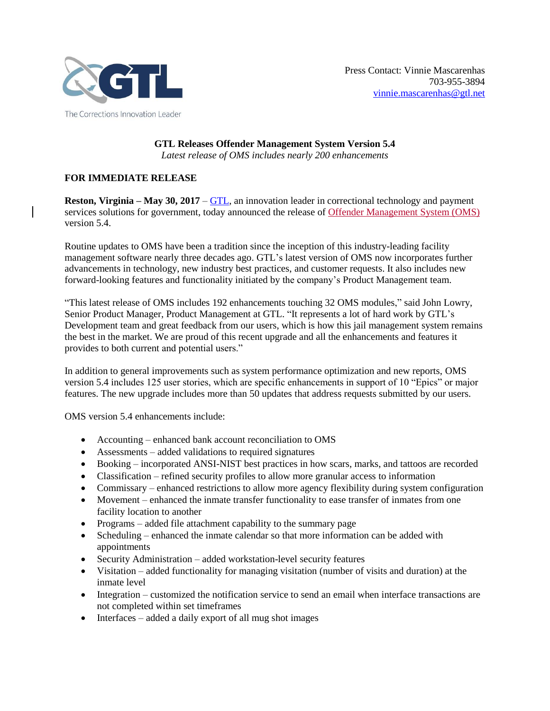

**GTL Releases Offender Management System Version 5.4** *Latest release of OMS includes nearly 200 enhancements*

## **FOR IMMEDIATE RELEASE**

**Reston, Virginia – May 30, 2017** – [GTL,](http://www.gtl.net/) an innovation leader in correctional technology and payment services solutions for government, today announced the release of [Offender Management System \(OMS\)](http://www.gtl.net/correctional-facility-services/enterprise-management-solutions/offender-management-system/) version 5.4.

Routine updates to OMS have been a tradition since the inception of this industry-leading facility management software nearly three decades ago. GTL's latest version of OMS now incorporates further advancements in technology, new industry best practices, and customer requests. It also includes new forward-looking features and functionality initiated by the company's Product Management team.

"This latest release of OMS includes 192 enhancements touching 32 OMS modules," said John Lowry, Senior Product Manager, Product Management at GTL. "It represents a lot of hard work by GTL's Development team and great feedback from our users, which is how this jail management system remains the best in the market. We are proud of this recent upgrade and all the enhancements and features it provides to both current and potential users."

In addition to general improvements such as system performance optimization and new reports, OMS version 5.4 includes 125 user stories, which are specific enhancements in support of 10 "Epics" or major features. The new upgrade includes more than 50 updates that address requests submitted by our users.

OMS version 5.4 enhancements include:

- Accounting enhanced bank account reconciliation to OMS
- Assessments added validations to required signatures
- Booking incorporated ANSI-NIST best practices in how scars, marks, and tattoos are recorded
- Classification refined security profiles to allow more granular access to information
- Commissary enhanced restrictions to allow more agency flexibility during system configuration
- Movement enhanced the inmate transfer functionality to ease transfer of inmates from one facility location to another
- Programs added file attachment capability to the summary page
- Scheduling enhanced the inmate calendar so that more information can be added with appointments
- Security Administration added workstation-level security features
- Visitation added functionality for managing visitation (number of visits and duration) at the inmate level
- Integration customized the notification service to send an email when interface transactions are not completed within set timeframes
- Interfaces added a daily export of all mug shot images